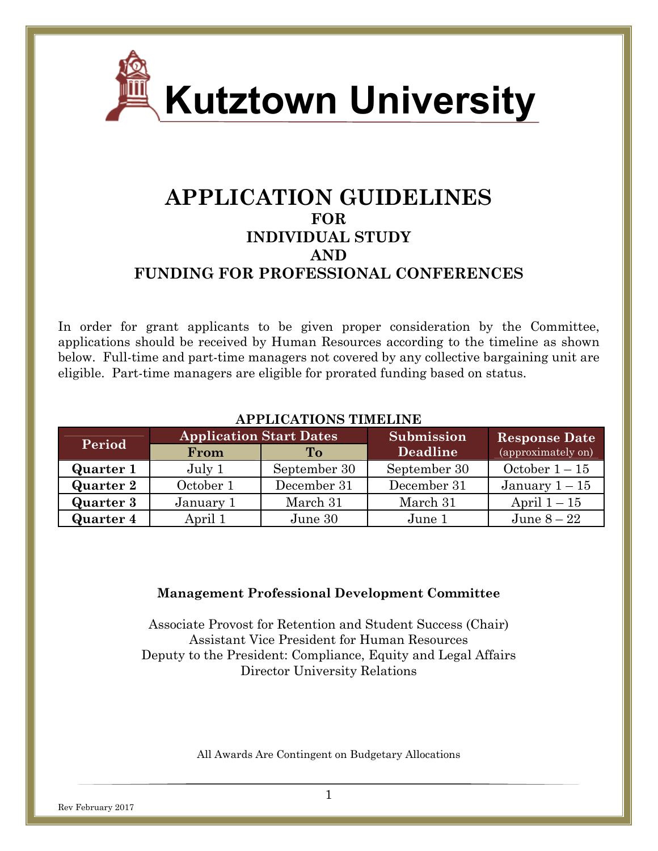

# **APPLICATION GUIDELINES FOR INDIVIDUAL STUDY AND FUNDING FOR PROFESSIONAL CONFERENCES**

In order for grant applicants to be given proper consideration by the Committee, applications should be received by Human Resources according to the timeline as shown below. Full-time and part-time managers not covered by any collective bargaining unit are eligible. Part-time managers are eligible for prorated funding based on status.

| АІ І ПІСАНІСІ ІІ ПІПЕНІ І |                                |              |              |                      |
|---------------------------|--------------------------------|--------------|--------------|----------------------|
| Period                    | <b>Application Start Dates</b> |              | Submission   | <b>Response Date</b> |
|                           | From                           | To           | Deadline     | (approximately on)   |
| <b>Quarter 1</b>          | July 1                         | September 30 | September 30 | October $1-15$       |
| <b>Quarter 2</b>          | October 1                      | December 31  | December 31  | January $1-15$       |
| <b>Quarter 3</b>          | January 1                      | March 31     | March 31     | April $1-15$         |
| <b>Quarter 4</b>          | April 1                        | June 30      | June 1       | June $8-22$          |

## **APPLICATIONS TIMELINE**

#### **Management Professional Development Committee**

Associate Provost for Retention and Student Success (Chair) Assistant Vice President for Human Resources Deputy to the President: Compliance, Equity and Legal Affairs Director University Relations

All Awards Are Contingent on Budgetary Allocations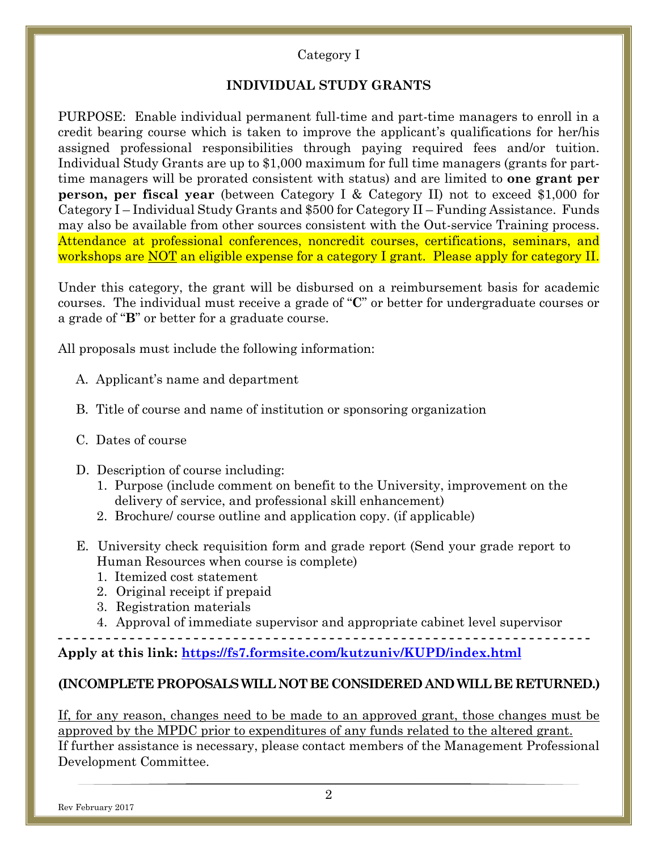## Category I

## **INDIVIDUAL STUDY GRANTS**

PURPOSE: Enable individual permanent full-time and part-time managers to enroll in a credit bearing course which is taken to improve the applicant's qualifications for her/his assigned professional responsibilities through paying required fees and/or tuition. Individual Study Grants are up to \$1,000 maximum for full time managers (grants for parttime managers will be prorated consistent with status) and are limited to **one grant per person, per fiscal year** (between Category I & Category II) not to exceed \$1,000 for Category I – Individual Study Grants and \$500 for Category II – Funding Assistance. Funds may also be available from other sources consistent with the Out-service Training process. Attendance at professional conferences, noncredit courses, certifications, seminars, and workshops are NOT an eligible expense for a category I grant. Please apply for category II.

Under this category, the grant will be disbursed on a reimbursement basis for academic courses. The individual must receive a grade of "**C**" or better for undergraduate courses or a grade of "**B**" or better for a graduate course.

All proposals must include the following information:

- A. Applicant's name and department
- B. Title of course and name of institution or sponsoring organization
- C. Dates of course
- D. Description of course including:
	- 1. Purpose (include comment on benefit to the University, improvement on the delivery of service, and professional skill enhancement)
	- 2. Brochure/ course outline and application copy. (if applicable)
- E. University check requisition form and grade report (Send your grade report to Human Resources when course is complete)
	- 1. Itemized cost statement
	- 2. Original receipt if prepaid
	- 3. Registration materials
	- 4. Approval of immediate supervisor and appropriate cabinet level supervisor

**- - - - - - - - - - - - - - - - - - - - - - - - - - - - - - - - - - - - - - - - - - - - - - - - - - - - - - - - - - - - - - - - - - - Apply at this link: https://fs7.formsite.com/kutzuniv/KUPD/index.html**

#### **(INCOMPLETE PROPOSALS WILL NOT BE CONSIDERED AND WILL BE RETURNED.)**

If, for any reason, changes need to be made to an approved grant, those changes must be approved by the MPDC prior to expenditures of any funds related to the altered grant. If further assistance is necessary, please contact members of the Management Professional Development Committee.

Rev February 2017

2